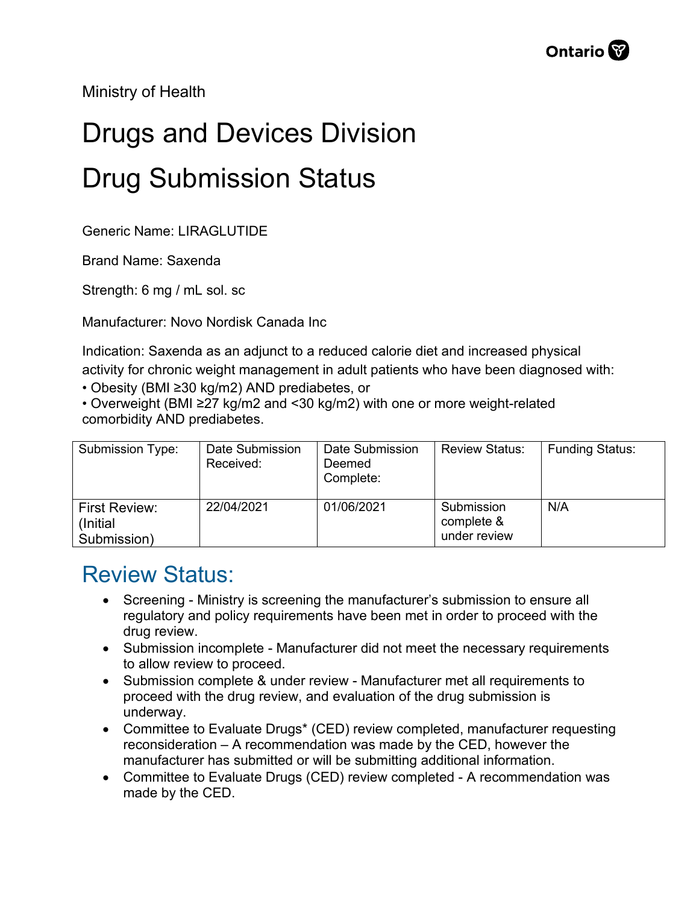Ministry of Health

## Drugs and Devices Division Drug Submission Status

Generic Name: LIRAGLUTIDE

Brand Name: Saxenda

Strength: 6 mg / mL sol. sc

Manufacturer: Novo Nordisk Canada Inc

Indication: Saxenda as an adjunct to a reduced calorie diet and increased physical activity for chronic weight management in adult patients who have been diagnosed with:

• Obesity (BMI ≥30 kg/m2) AND prediabetes, or

• Overweight (BMI ≥27 kg/m2 and <30 kg/m2) with one or more weight-related comorbidity AND prediabetes.

| Submission Type:                                 | Date Submission<br>Received: | Date Submission<br>Deemed<br>Complete: | <b>Review Status:</b>                    | <b>Funding Status:</b> |
|--------------------------------------------------|------------------------------|----------------------------------------|------------------------------------------|------------------------|
| <b>First Review:</b><br>(Initial)<br>Submission) | 22/04/2021                   | 01/06/2021                             | Submission<br>complete &<br>under review | N/A                    |

## Review Status:

- Screening Ministry is screening the manufacturer's submission to ensure all regulatory and policy requirements have been met in order to proceed with the drug review.
- Submission incomplete Manufacturer did not meet the necessary requirements to allow review to proceed.
- Submission complete & under review Manufacturer met all requirements to proceed with the drug review, and evaluation of the drug submission is underway.
- Committee to Evaluate Drugs\* (CED) review completed, manufacturer requesting reconsideration – A recommendation was made by the CED, however the manufacturer has submitted or will be submitting additional information.
- Committee to Evaluate Drugs (CED) review completed A recommendation was made by the CED.